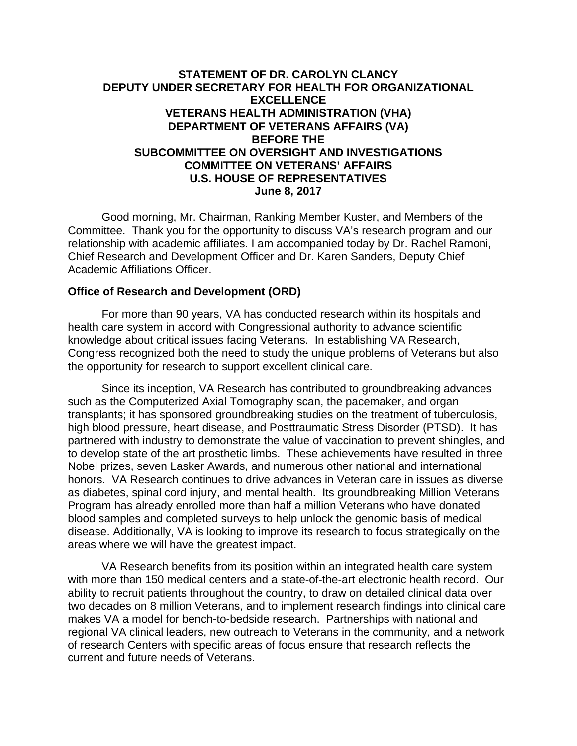## **STATEMENT OF DR. CAROLYN CLANCY DEPUTY UNDER SECRETARY FOR HEALTH FOR ORGANIZATIONAL EXCELLENCE VETERANS HEALTH ADMINISTRATION (VHA) DEPARTMENT OF VETERANS AFFAIRS (VA) BEFORE THE SUBCOMMITTEE ON OVERSIGHT AND INVESTIGATIONS COMMITTEE ON VETERANS' AFFAIRS U.S. HOUSE OF REPRESENTATIVES June 8, 2017**

Good morning, Mr. Chairman, Ranking Member Kuster, and Members of the Committee. Thank you for the opportunity to discuss VA's research program and our relationship with academic affiliates. I am accompanied today by Dr. Rachel Ramoni, Chief Research and Development Officer and Dr. Karen Sanders, Deputy Chief Academic Affiliations Officer.

## **Office of Research and Development (ORD)**

For more than 90 years, VA has conducted research within its hospitals and health care system in accord with Congressional authority to advance scientific knowledge about critical issues facing Veterans. In establishing VA Research, Congress recognized both the need to study the unique problems of Veterans but also the opportunity for research to support excellent clinical care.

Since its inception, VA Research has contributed to groundbreaking advances such as the Computerized Axial Tomography scan, the pacemaker, and organ transplants; it has sponsored groundbreaking studies on the treatment of tuberculosis, high blood pressure, heart disease, and Posttraumatic Stress Disorder (PTSD). It has partnered with industry to demonstrate the value of vaccination to prevent shingles, and to develop state of the art prosthetic limbs. These achievements have resulted in three Nobel prizes, seven Lasker Awards, and numerous other national and international honors. VA Research continues to drive advances in Veteran care in issues as diverse as diabetes, spinal cord injury, and mental health. Its groundbreaking Million Veterans Program has already enrolled more than half a million Veterans who have donated blood samples and completed surveys to help unlock the genomic basis of medical disease. Additionally, VA is looking to improve its research to focus strategically on the areas where we will have the greatest impact.

VA Research benefits from its position within an integrated health care system with more than 150 medical centers and a state-of-the-art electronic health record. Our ability to recruit patients throughout the country, to draw on detailed clinical data over two decades on 8 million Veterans, and to implement research findings into clinical care makes VA a model for bench-to-bedside research. Partnerships with national and regional VA clinical leaders, new outreach to Veterans in the community, and a network of research Centers with specific areas of focus ensure that research reflects the current and future needs of Veterans.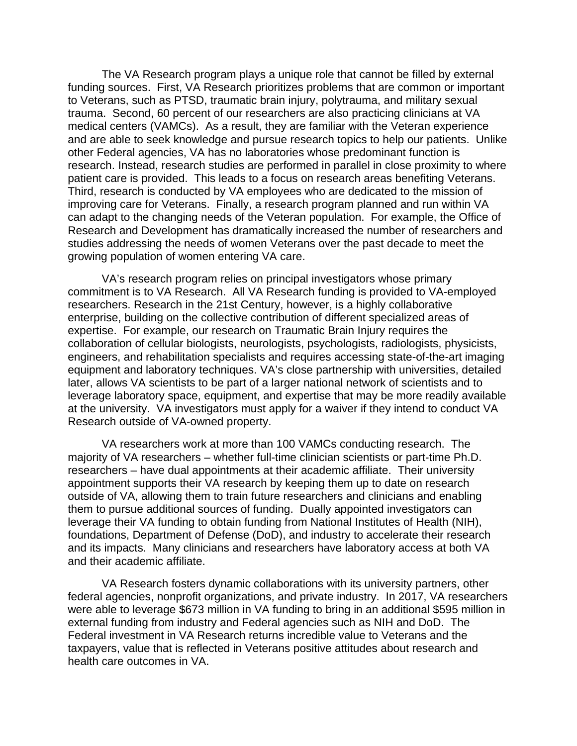The VA Research program plays a unique role that cannot be filled by external funding sources. First, VA Research prioritizes problems that are common or important to Veterans, such as PTSD, traumatic brain injury, polytrauma, and military sexual trauma. Second, 60 percent of our researchers are also practicing clinicians at VA medical centers (VAMCs). As a result, they are familiar with the Veteran experience and are able to seek knowledge and pursue research topics to help our patients. Unlike other Federal agencies, VA has no laboratories whose predominant function is research. Instead, research studies are performed in parallel in close proximity to where patient care is provided. This leads to a focus on research areas benefiting Veterans. Third, research is conducted by VA employees who are dedicated to the mission of improving care for Veterans. Finally, a research program planned and run within VA can adapt to the changing needs of the Veteran population. For example, the Office of Research and Development has dramatically increased the number of researchers and studies addressing the needs of women Veterans over the past decade to meet the growing population of women entering VA care.

VA's research program relies on principal investigators whose primary commitment is to VA Research. All VA Research funding is provided to VA-employed researchers. Research in the 21st Century, however, is a highly collaborative enterprise, building on the collective contribution of different specialized areas of expertise. For example, our research on Traumatic Brain Injury requires the collaboration of cellular biologists, neurologists, psychologists, radiologists, physicists, engineers, and rehabilitation specialists and requires accessing state-of-the-art imaging equipment and laboratory techniques. VA's close partnership with universities, detailed later, allows VA scientists to be part of a larger national network of scientists and to leverage laboratory space, equipment, and expertise that may be more readily available at the university. VA investigators must apply for a waiver if they intend to conduct VA Research outside of VA-owned property.

VA researchers work at more than 100 VAMCs conducting research. The majority of VA researchers – whether full-time clinician scientists or part-time Ph.D. researchers – have dual appointments at their academic affiliate. Their university appointment supports their VA research by keeping them up to date on research outside of VA, allowing them to train future researchers and clinicians and enabling them to pursue additional sources of funding. Dually appointed investigators can leverage their VA funding to obtain funding from National Institutes of Health (NIH), foundations, Department of Defense (DoD), and industry to accelerate their research and its impacts. Many clinicians and researchers have laboratory access at both VA and their academic affiliate.

VA Research fosters dynamic collaborations with its university partners, other federal agencies, nonprofit organizations, and private industry. In 2017, VA researchers were able to leverage \$673 million in VA funding to bring in an additional \$595 million in external funding from industry and Federal agencies such as NIH and DoD. The Federal investment in VA Research returns incredible value to Veterans and the taxpayers, value that is reflected in Veterans positive attitudes about research and health care outcomes in VA.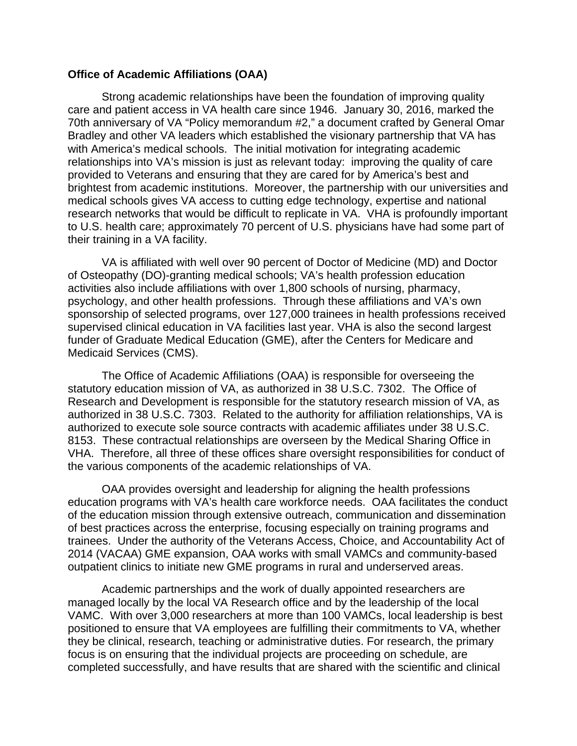## **Office of Academic Affiliations (OAA)**

Strong academic relationships have been the foundation of improving quality care and patient access in VA health care since 1946. January 30, 2016, marked the 70th anniversary of VA "Policy memorandum #2," a document crafted by General Omar Bradley and other VA leaders which established the visionary partnership that VA has with America's medical schools. The initial motivation for integrating academic relationships into VA's mission is just as relevant today: improving the quality of care provided to Veterans and ensuring that they are cared for by America's best and brightest from academic institutions. Moreover, the partnership with our universities and medical schools gives VA access to cutting edge technology, expertise and national research networks that would be difficult to replicate in VA. VHA is profoundly important to U.S. health care; approximately 70 percent of U.S. physicians have had some part of their training in a VA facility.

VA is affiliated with well over 90 percent of Doctor of Medicine (MD) and Doctor of Osteopathy (DO)-granting medical schools; VA's health profession education activities also include affiliations with over 1,800 schools of nursing, pharmacy, psychology, and other health professions. Through these affiliations and VA's own sponsorship of selected programs, over 127,000 trainees in health professions received supervised clinical education in VA facilities last year. VHA is also the second largest funder of Graduate Medical Education (GME), after the Centers for Medicare and Medicaid Services (CMS).

The Office of Academic Affiliations (OAA) is responsible for overseeing the statutory education mission of VA, as authorized in 38 U.S.C. 7302. The Office of Research and Development is responsible for the statutory research mission of VA, as authorized in 38 U.S.C. 7303. Related to the authority for affiliation relationships, VA is authorized to execute sole source contracts with academic affiliates under 38 U.S.C. 8153. These contractual relationships are overseen by the Medical Sharing Office in VHA. Therefore, all three of these offices share oversight responsibilities for conduct of the various components of the academic relationships of VA.

OAA provides oversight and leadership for aligning the health professions education programs with VA's health care workforce needs. OAA facilitates the conduct of the education mission through extensive outreach, communication and dissemination of best practices across the enterprise, focusing especially on training programs and trainees. Under the authority of the Veterans Access, Choice, and Accountability Act of 2014 (VACAA) GME expansion, OAA works with small VAMCs and community-based outpatient clinics to initiate new GME programs in rural and underserved areas.

Academic partnerships and the work of dually appointed researchers are managed locally by the local VA Research office and by the leadership of the local VAMC. With over 3,000 researchers at more than 100 VAMCs, local leadership is best positioned to ensure that VA employees are fulfilling their commitments to VA, whether they be clinical, research, teaching or administrative duties. For research, the primary focus is on ensuring that the individual projects are proceeding on schedule, are completed successfully, and have results that are shared with the scientific and clinical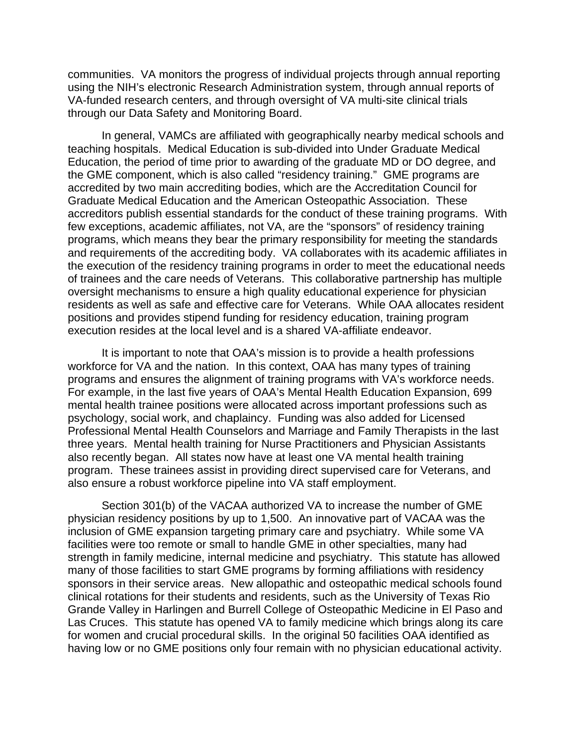communities. VA monitors the progress of individual projects through annual reporting using the NIH's electronic Research Administration system, through annual reports of VA-funded research centers, and through oversight of VA multi-site clinical trials through our Data Safety and Monitoring Board.

In general, VAMCs are affiliated with geographically nearby medical schools and teaching hospitals. Medical Education is sub-divided into Under Graduate Medical Education, the period of time prior to awarding of the graduate MD or DO degree, and the GME component, which is also called "residency training." GME programs are accredited by two main accrediting bodies, which are the Accreditation Council for Graduate Medical Education and the American Osteopathic Association. These accreditors publish essential standards for the conduct of these training programs. With few exceptions, academic affiliates, not VA, are the "sponsors" of residency training programs, which means they bear the primary responsibility for meeting the standards and requirements of the accrediting body. VA collaborates with its academic affiliates in the execution of the residency training programs in order to meet the educational needs of trainees and the care needs of Veterans. This collaborative partnership has multiple oversight mechanisms to ensure a high quality educational experience for physician residents as well as safe and effective care for Veterans. While OAA allocates resident positions and provides stipend funding for residency education, training program execution resides at the local level and is a shared VA-affiliate endeavor.

It is important to note that OAA's mission is to provide a health professions workforce for VA and the nation. In this context, OAA has many types of training programs and ensures the alignment of training programs with VA's workforce needs. For example, in the last five years of OAA's Mental Health Education Expansion, 699 mental health trainee positions were allocated across important professions such as psychology, social work, and chaplaincy. Funding was also added for Licensed Professional Mental Health Counselors and Marriage and Family Therapists in the last three years. Mental health training for Nurse Practitioners and Physician Assistants also recently began. All states now have at least one VA mental health training program. These trainees assist in providing direct supervised care for Veterans, and also ensure a robust workforce pipeline into VA staff employment.

Section 301(b) of the VACAA authorized VA to increase the number of GME physician residency positions by up to 1,500. An innovative part of VACAA was the inclusion of GME expansion targeting primary care and psychiatry. While some VA facilities were too remote or small to handle GME in other specialties, many had strength in family medicine, internal medicine and psychiatry. This statute has allowed many of those facilities to start GME programs by forming affiliations with residency sponsors in their service areas. New allopathic and osteopathic medical schools found clinical rotations for their students and residents, such as the University of Texas Rio Grande Valley in Harlingen and Burrell College of Osteopathic Medicine in El Paso and Las Cruces. This statute has opened VA to family medicine which brings along its care for women and crucial procedural skills. In the original 50 facilities OAA identified as having low or no GME positions only four remain with no physician educational activity.